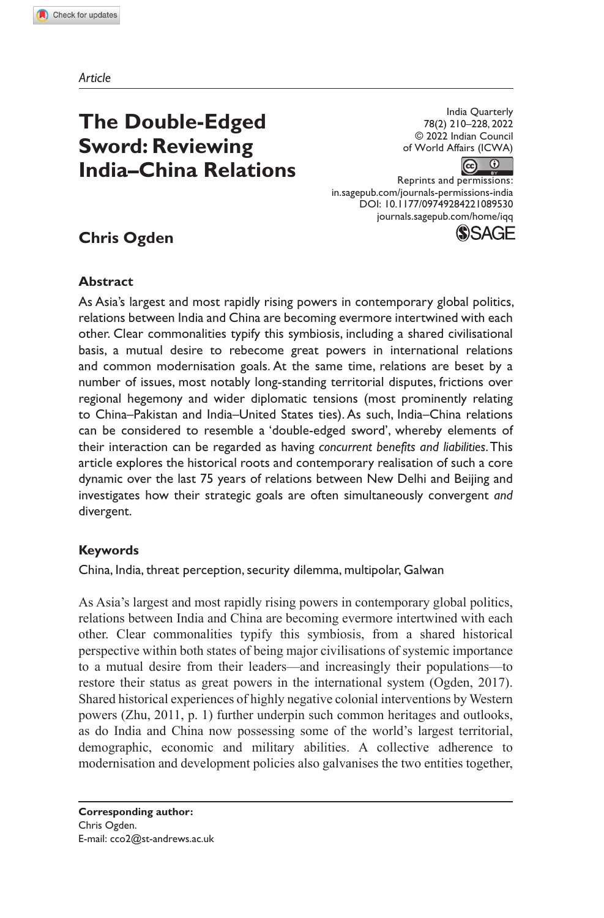*Article*

# **The Double-Edged Sword: Reviewing India–China Relations**

India Quarterly 78(2) 210–228, 2022 © 2022 Indian Council of World Affairs (ICWA)

 $\left( \infty \right)$  $\odot$ 

Reprints and permissions: in.sagepub.com/journals-permissions-india DOI: 10.1177/09749284221089530 journals.sagepub.com/home/iqq**(\$)SAGE** 

# **Chris Ogden**

# **Abstract**

As Asia's largest and most rapidly rising powers in contemporary global politics, relations between India and China are becoming evermore intertwined with each other. Clear commonalities typify this symbiosis, including a shared civilisational basis, a mutual desire to rebecome great powers in international relations and common modernisation goals. At the same time, relations are beset by a number of issues, most notably long-standing territorial disputes, frictions over regional hegemony and wider diplomatic tensions (most prominently relating to China–Pakistan and India–United States ties). As such, India–China relations can be considered to resemble a 'double-edged sword', whereby elements of their interaction can be regarded as having *concurrent benefits and liabilities*. This article explores the historical roots and contemporary realisation of such a core dynamic over the last 75 years of relations between New Delhi and Beijing and investigates how their strategic goals are often simultaneously convergent *and* divergent.

# **Keywords**

China, India, threat perception, security dilemma, multipolar, Galwan

As Asia's largest and most rapidly rising powers in contemporary global politics, relations between India and China are becoming ever more intertwined with each other. Clear commonalities typify this symbiosis, from a shared historical perspective within both states of being major civilisations of systemic importance to a mutual desire from their leaders—and increasingly their populations—to restore their status as great powers in the international system (Ogden, 2017). Shared historical experiences of highly negative colonial interventions by Western powers (Zhu, 2011, p. 1) further underpin such common heritages and outlooks, as do India and China now possessing some of the world's largest territorial, demographic, economic and military abilities. A collective adherence to modernisation and development policies also galvanises the two entities together,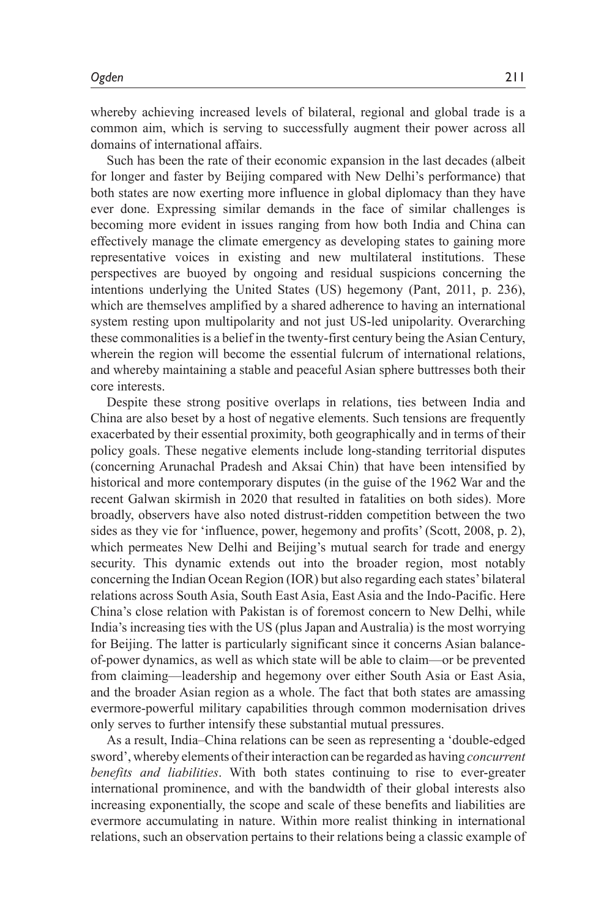whereby achieving increased levels of bilateral, regional and global trade is a common aim, which is serving to successfully augment their power across all domains of international affairs.

Such has been the rate of their economic expansion in the last decades (albeit for longer and faster by Beijing compared with New Delhi's performance) that both states are now exerting more influence in global diplomacy than they have ever done. Expressing similar demands in the face of similar challenges is becoming more evident in issues ranging from how both India and China can effectively manage the climate emergency as developing states to gaining more representative voices in existing and new multilateral institutions. These perspectives are buoyed by ongoing and residual suspicions concerning the intentions underlying the United States (US) hegemony (Pant, 2011, p. 236), which are themselves amplified by a shared adherence to having an international system resting upon multipolarity and not just US-led unipolarity. Overarching these commonalities is a belief in the twenty-first century being the Asian Century, wherein the region will become the essential fulcrum of international relations, and whereby maintaining a stable and peaceful Asian sphere buttresses both their core interests.

Despite these strong positive overlaps in relations, ties between India and China are also beset by a host of negative elements. Such tensions are frequently exacerbated by their essential proximity, both geographically and in terms of their policy goals. These negative elements include long-standing territorial disputes (concerning Arunachal Pradesh and Aksai Chin) that have been intensified by historical and more contemporary disputes (in the guise of the 1962 War and the recent Galwan skirmish in 2020 that resulted in fatalities on both sides). More broadly, observers have also noted distrust-ridden competition between the two sides as they vie for 'influence, power, hegemony and profits' (Scott, 2008, p. 2), which permeates New Delhi and Beijing's mutual search for trade and energy security. This dynamic extends out into the broader region, most notably concerning the Indian Ocean Region (IOR) but also regarding each states' bilateral relations across South Asia, South East Asia, East Asia and the Indo-Pacific. Here China's close relation with Pakistan is of foremost concern to New Delhi, while India's increasing ties with the US (plus Japan and Australia) is the most worrying for Beijing. The latter is particularly significant since it concerns Asian balanceof-power dynamics, as well as which state will be able to claim—or be prevented from claiming—leadership and hegemony over either South Asia or East Asia, and the broader Asian region as a whole. The fact that both states are amassing evermore-powerful military capabilities through common modernisation drives only serves to further intensify these substantial mutual pressures.

As a result, India–China relations can be seen as representing a 'double-edged sword', whereby elements of their interaction can be regarded as having *concurrent benefits and liabilities*. With both states continuing to rise to ever-greater international prominence, and with the bandwidth of their global interests also increasing exponentially, the scope and scale of these benefits and liabilities are evermore accumulating in nature. Within more realist thinking in international relations, such an observation pertains to their relations being a classic example of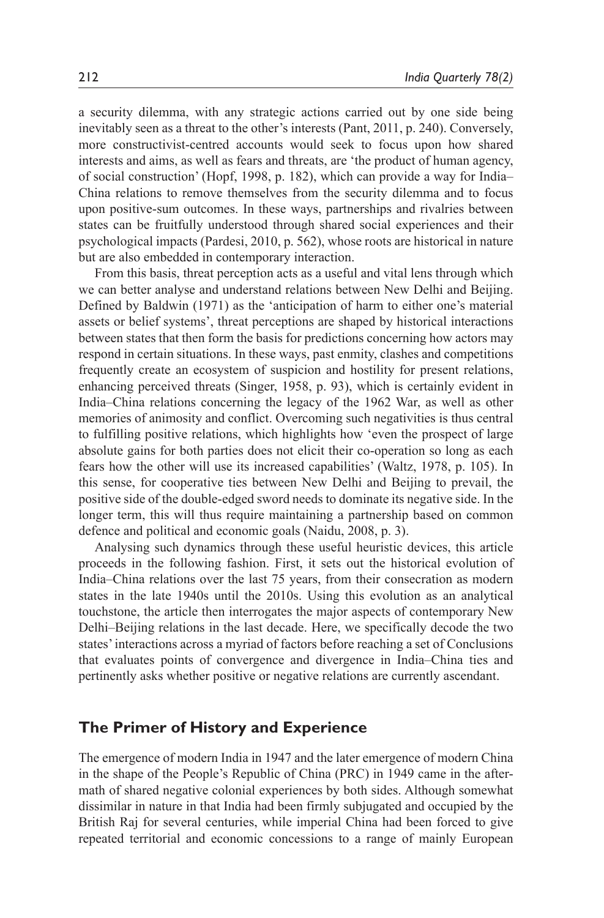a security dilemma, with any strategic actions carried out by one side being inevitably seen as a threat to the other's interests (Pant, 2011, p. 240). Conversely, more constructivist-centred accounts would seek to focus upon how shared interests and aims, as well as fears and threats, are 'the product of human agency, of social construction' (Hopf, 1998, p. 182), which can provide a way for India– China relations to remove themselves from the security dilemma and to focus upon positive-sum outcomes. In these ways, partnerships and rivalries between states can be fruitfully understood through shared social experiences and their psychological impacts (Pardesi, 2010, p. 562), whose roots are historical in nature but are also embedded in contemporary interaction.

From this basis, threat perception acts as a useful and vital lens through which we can better analyse and understand relations between New Delhi and Beijing. Defined by Baldwin (1971) as the 'anticipation of harm to either one's material assets or belief systems', threat perceptions are shaped by historical interactions between states that then form the basis for predictions concerning how actors may respond in certain situations. In these ways, past enmity, clashes and competitions frequently create an ecosystem of suspicion and hostility for present relations, enhancing perceived threats (Singer, 1958, p. 93), which is certainly evident in India–China relations concerning the legacy of the 1962 War, as well as other memories of animosity and conflict. Overcoming such negativities is thus central to fulfilling positive relations, which highlights how 'even the prospect of large absolute gains for both parties does not elicit their co-operation so long as each fears how the other will use its increased capabilities' (Waltz, 1978, p. 105). In this sense, for cooperative ties between New Delhi and Beijing to prevail, the positive side of the double-edged sword needs to dominate its negative side. In the longer term, this will thus require maintaining a partnership based on common defence and political and economic goals (Naidu, 2008, p. 3).

Analysing such dynamics through these useful heuristic devices, this article proceeds in the following fashion. First, it sets out the historical evolution of India–China relations over the last 75 years, from their consecration as modern states in the late 1940s until the 2010s. Using this evolution as an analytical touchstone, the article then interrogates the major aspects of contemporary New Delhi–Beijing relations in the last decade. Here, we specifically decode the two states' interactions across a myriad of factors before reaching a set of Conclusions that evaluates points of convergence and divergence in India–China ties and pertinently asks whether positive or negative relations are currently ascendant.

#### **The Primer of History and Experience**

The emergence of modern India in 1947 and the later emergence of modern China in the shape of the People's Republic of China (PRC) in 1949 came in the aftermath of shared negative colonial experiences by both sides. Although somewhat dissimilar in nature in that India had been firmly subjugated and occupied by the British Raj for several centuries, while imperial China had been forced to give repeated territorial and economic concessions to a range of mainly European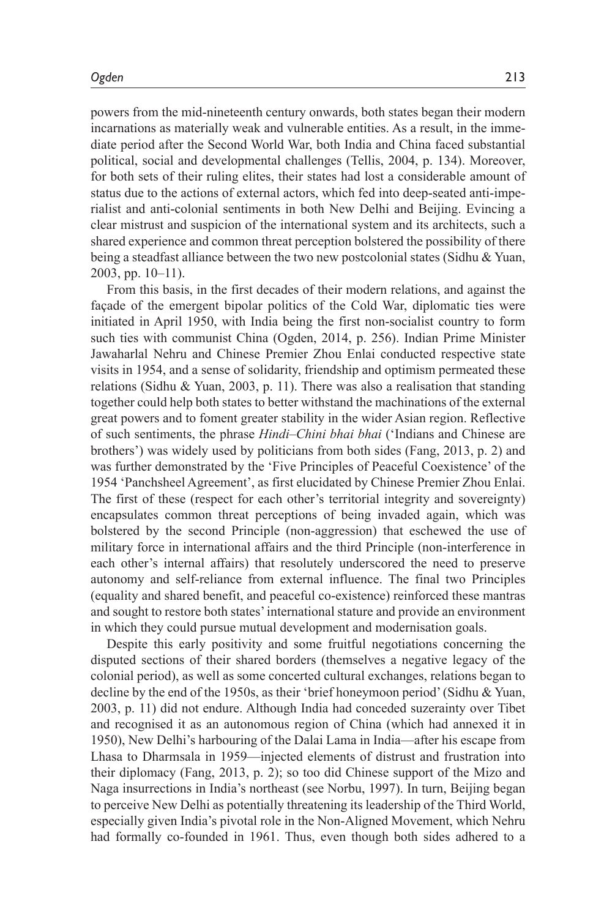powers from the mid-nineteenth century onwards, both states began their modern incarnations as materially weak and vulnerable entities. As a result, in the immediate period after the Second World War, both India and China faced substantial political, social and developmental challenges (Tellis, 2004, p. 134). Moreover, for both sets of their ruling elites, their states had lost a considerable amount of status due to the actions of external actors, which fed into deep-seated anti-imperialist and anti-colonial sentiments in both New Delhi and Beijing. Evincing a clear mistrust and suspicion of the international system and its architects, such a shared experience and common threat perception bolstered the possibility of there being a steadfast alliance between the two new postcolonial states (Sidhu & Yuan, 2003, pp. 10–11).

From this basis, in the first decades of their modern relations, and against the façade of the emergent bipolar politics of the Cold War, diplomatic ties were initiated in April 1950, with India being the first non-socialist country to form such ties with communist China (Ogden, 2014, p. 256). Indian Prime Minister Jawaharlal Nehru and Chinese Premier Zhou Enlai conducted respective state visits in 1954, and a sense of solidarity, friendship and optimism permeated these relations (Sidhu & Yuan, 2003, p. 11). There was also a realisation that standing together could help both states to better withstand the machinations of the external great powers and to foment greater stability in the wider Asian region. Reflective of such sentiments, the phrase *Hindi–Chini bhai bhai* ('Indians and Chinese are brothers') was widely used by politicians from both sides (Fang, 2013, p. 2) and was further demonstrated by the 'Five Principles of Peaceful Coexistence' of the 1954 'Panchsheel Agreement', as first elucidated by Chinese Premier Zhou Enlai. The first of these (respect for each other's territorial integrity and sovereignty) encapsulates common threat perceptions of being invaded again, which was bolstered by the second Principle (non-aggression) that eschewed the use of military force in international affairs and the third Principle (non-interference in each other's internal affairs) that resolutely underscored the need to preserve autonomy and self-reliance from external influence. The final two Principles (equality and shared benefit, and peaceful co-existence) reinforced these mantras and sought to restore both states' international stature and provide an environment in which they could pursue mutual development and modernisation goals.

Despite this early positivity and some fruitful negotiations concerning the disputed sections of their shared borders (themselves a negative legacy of the colonial period), as well as some concerted cultural exchanges, relations began to decline by the end of the 1950s, as their 'brief honeymoon period' (Sidhu & Yuan, 2003, p. 11) did not endure. Although India had conceded suzerainty over Tibet and recognised it as an autonomous region of China (which had annexed it in 1950), New Delhi's harbouring of the Dalai Lama in India—after his escape from Lhasa to Dharmsala in 1959—injected elements of distrust and frustration into their diplomacy (Fang, 2013, p. 2); so too did Chinese support of the Mizo and Naga insurrections in India's northeast (see Norbu, 1997). In turn, Beijing began to perceive New Delhi as potentially threatening its leadership of the Third World, especially given India's pivotal role in the Non-Aligned Movement, which Nehru had formally co-founded in 1961. Thus, even though both sides adhered to a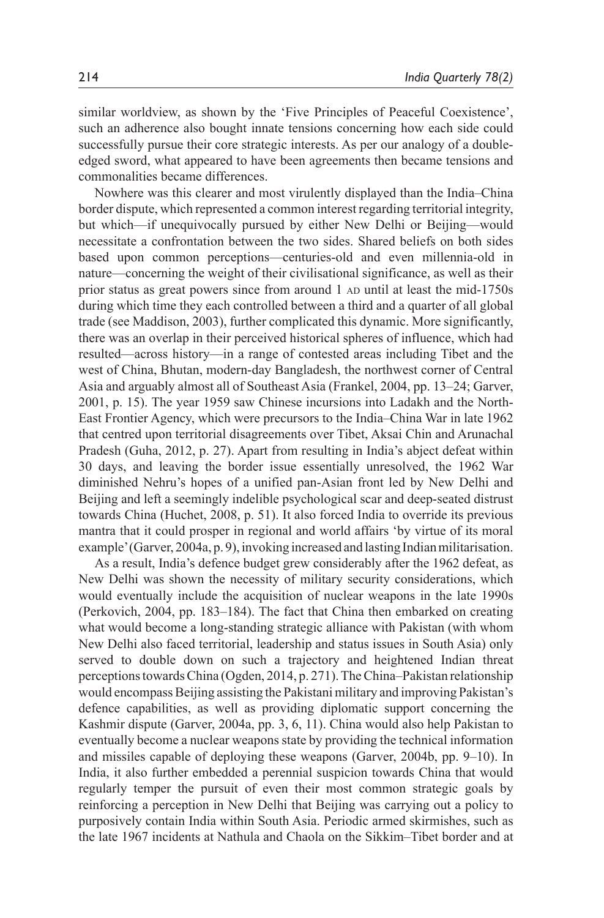similar worldview, as shown by the 'Five Principles of Peaceful Coexistence', such an adherence also bought innate tensions concerning how each side could successfully pursue their core strategic interests. As per our analogy of a doubleedged sword, what appeared to have been agreements then became tensions and commonalities became differences.

Nowhere was this clearer and most virulently displayed than the India–China border dispute, which represented a common interest regarding territorial integrity, but which—if unequivocally pursued by either New Delhi or Beijing—would necessitate a confrontation between the two sides. Shared beliefs on both sides based upon common perceptions—centuries-old and even millennia-old in nature—concerning the weight of their civilisational significance, as well as their prior status as great powers since from around 1 AD until at least the mid-1750s during which time they each controlled between a third and a quarter of all global trade (see Maddison, 2003), further complicated this dynamic. More significantly, there was an overlap in their perceived historical spheres of influence, which had resulted—across history—in a range of contested areas including Tibet and the west of China, Bhutan, modern-day Bangladesh, the northwest corner of Central Asia and arguably almost all of Southeast Asia (Frankel, 2004, pp. 13–24; Garver, 2001, p. 15). The year 1959 saw Chinese incursions into Ladakh and the North-East Frontier Agency, which were precursors to the India–China War in late 1962 that centred upon territorial disagreements over Tibet, Aksai Chin and Arunachal Pradesh (Guha, 2012, p. 27). Apart from resulting in India's abject defeat within 30 days, and leaving the border issue essentially unresolved, the 1962 War diminished Nehru's hopes of a unified pan-Asian front led by New Delhi and Beijing and left a seemingly indelible psychological scar and deep-seated distrust towards China (Huchet, 2008, p. 51). It also forced India to override its previous mantra that it could prosper in regional and world affairs 'by virtue of its moral example' (Garver, 2004a, p. 9), invoking increased and lasting Indian militarisation.

As a result, India's defence budget grew considerably after the 1962 defeat, as New Delhi was shown the necessity of military security considerations, which would eventually include the acquisition of nuclear weapons in the late 1990s (Perkovich, 2004, pp. 183–184). The fact that China then embarked on creating what would become a long-standing strategic alliance with Pakistan (with whom New Delhi also faced territorial, leadership and status issues in South Asia) only served to double down on such a trajectory and heightened Indian threat perceptions towards China (Ogden, 2014, p. 271). The China–Pakistan relationship would encompass Beijing assisting the Pakistani military and improving Pakistan's defence capabilities, as well as providing diplomatic support concerning the Kashmir dispute (Garver, 2004a, pp. 3, 6, 11). China would also help Pakistan to eventually become a nuclear weapons state by providing the technical information and missiles capable of deploying these weapons (Garver, 2004b, pp. 9–10). In India, it also further embedded a perennial suspicion towards China that would regularly temper the pursuit of even their most common strategic goals by reinforcing a perception in New Delhi that Beijing was carrying out a policy to purposively contain India within South Asia. Periodic armed skirmishes, such as the late 1967 incidents at Nathula and Chaola on the Sikkim–Tibet border and at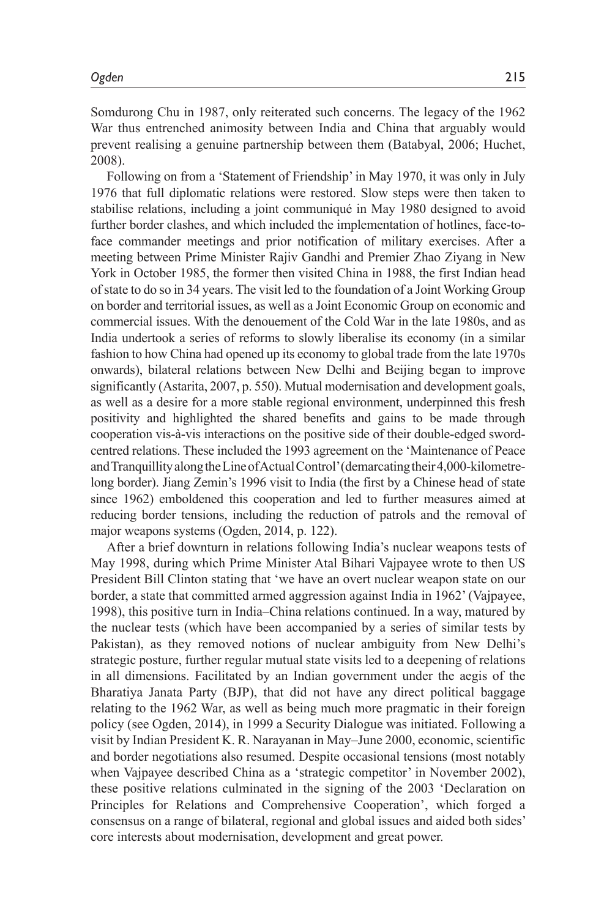Somdurong Chu in 1987, only reiterated such concerns. The legacy of the 1962 War thus entrenched animosity between India and China that arguably would prevent realising a genuine partnership between them (Batabyal, 2006; Huchet, 2008).

Following on from a 'Statement of Friendship' in May 1970, it was only in July 1976 that full diplomatic relations were restored. Slow steps were then taken to stabilise relations, including a joint communiqué in May 1980 designed to avoid further border clashes, and which included the implementation of hotlines, face-toface commander meetings and prior notification of military exercises. After a meeting between Prime Minister Rajiv Gandhi and Premier Zhao Ziyang in New York in October 1985, the former then visited China in 1988, the first Indian head of state to do so in 34 years. The visit led to the foundation of a Joint Working Group on border and territorial issues, as well as a Joint Economic Group on economic and commercial issues. With the denouement of the Cold War in the late 1980s, and as India undertook a series of reforms to slowly liberalise its economy (in a similar fashion to how China had opened up its economy to global trade from the late 1970s onwards), bilateral relations between New Delhi and Beijing began to improve significantly (Astarita, 2007, p. 550). Mutual modernisation and development goals, as well as a desire for a more stable regional environment, underpinned this fresh positivity and highlighted the shared benefits and gains to be made through cooperation vis-à-vis interactions on the positive side of their double-edged swordcentred relations. These included the 1993 agreement on the 'Maintenance of Peace and Tranquillity along the Line of Actual Control' (demarcating their 4,000-kilometrelong border). Jiang Zemin's 1996 visit to India (the first by a Chinese head of state since 1962) emboldened this cooperation and led to further measures aimed at reducing border tensions, including the reduction of patrols and the removal of major weapons systems (Ogden, 2014, p. 122).

After a brief downturn in relations following India's nuclear weapons tests of May 1998, during which Prime Minister Atal Bihari Vajpayee wrote to then US President Bill Clinton stating that 'we have an overt nuclear weapon state on our border, a state that committed armed aggression against India in 1962' (Vajpayee, 1998), this positive turn in India–China relations continued. In a way, matured by the nuclear tests (which have been accompanied by a series of similar tests by Pakistan), as they removed notions of nuclear ambiguity from New Delhi's strategic posture, further regular mutual state visits led to a deepening of relations in all dimensions. Facilitated by an Indian government under the aegis of the Bharatiya Janata Party (BJP), that did not have any direct political baggage relating to the 1962 War, as well as being much more pragmatic in their foreign policy (see Ogden, 2014), in 1999 a Security Dialogue was initiated. Following a visit by Indian President K. R. Narayanan in May–June 2000, economic, scientific and border negotiations also resumed. Despite occasional tensions (most notably when Vajpayee described China as a 'strategic competitor' in November 2002), these positive relations culminated in the signing of the 2003 'Declaration on Principles for Relations and Comprehensive Cooperation', which forged a consensus on a range of bilateral, regional and global issues and aided both sides' core interests about modernisation, development and great power.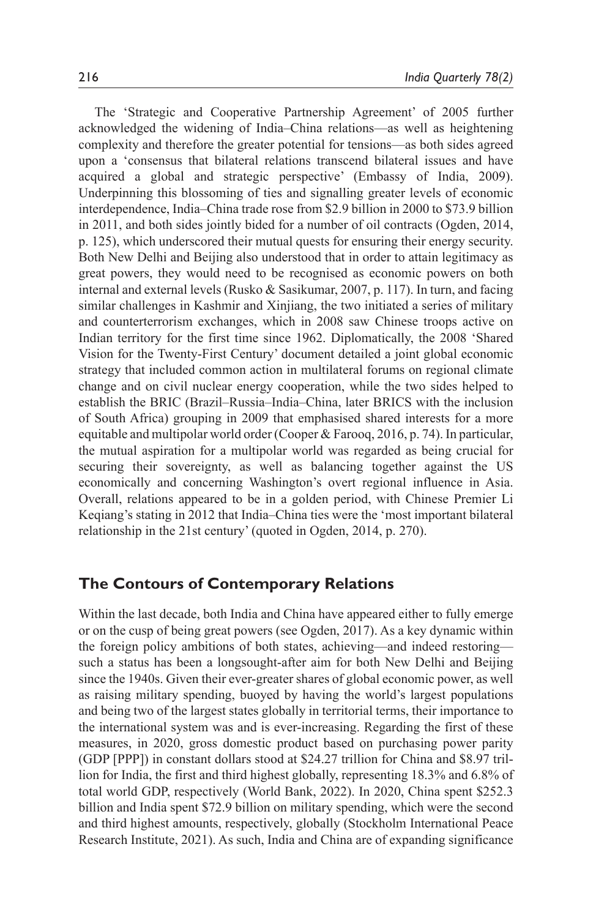The 'Strategic and Cooperative Partnership Agreement' of 2005 further acknowledged the widening of India–China relations—as well as heightening complexity and therefore the greater potential for tensions—as both sides agreed upon a 'consensus that bilateral relations transcend bilateral issues and have acquired a global and strategic perspective' (Embassy of India, 2009). Underpinning this blossoming of ties and signalling greater levels of economic interdependence, India–China trade rose from \$2.9 billion in 2000 to \$73.9 billion in 2011, and both sides jointly bided for a number of oil contracts (Ogden, 2014, p. 125), which underscored their mutual quests for ensuring their energy security. Both New Delhi and Beijing also understood that in order to attain legitimacy as great powers, they would need to be recognised as economic powers on both internal and external levels (Rusko & Sasikumar, 2007, p. 117). In turn, and facing similar challenges in Kashmir and Xinjiang, the two initiated a series of military and counterterrorism exchanges, which in 2008 saw Chinese troops active on Indian territory for the first time since 1962. Diplomatically, the 2008 'Shared Vision for the Twenty-First Century' document detailed a joint global economic strategy that included common action in multilateral forums on regional climate change and on civil nuclear energy cooperation, while the two sides helped to establish the BRIC (Brazil–Russia–India–China, later BRICS with the inclusion of South Africa) grouping in 2009 that emphasised shared interests for a more equitable and multipolar world order (Cooper & Farooq, 2016, p. 74). In particular, the mutual aspiration for a multipolar world was regarded as being crucial for securing their sovereignty, as well as balancing together against the US economically and concerning Washington's overt regional influence in Asia. Overall, relations appeared to be in a golden period, with Chinese Premier Li Keqiang's stating in 2012 that India–China ties were the 'most important bilateral relationship in the 21st century' (quoted in Ogden, 2014, p. 270).

# **The Contours of Contemporary Relations**

Within the last decade, both India and China have appeared either to fully emerge or on the cusp of being great powers (see Ogden, 2017). As a key dynamic within the foreign policy ambitions of both states, achieving—and indeed restoring such a status has been a longsought-after aim for both New Delhi and Beijing since the 1940s. Given their ever-greater shares of global economic power, as well as raising military spending, buoyed by having the world's largest populations and being two of the largest states globally in territorial terms, their importance to the international system was and is ever-increasing. Regarding the first of these measures, in 2020, gross domestic product based on purchasing power parity (GDP [PPP]) in constant dollars stood at \$24.27 trillion for China and \$8.97 trillion for India, the first and third highest globally, representing 18.3% and 6.8% of total world GDP, respectively (World Bank, 2022). In 2020, China spent \$252.3 billion and India spent \$72.9 billion on military spending, which were the second and third highest amounts, respectively, globally (Stockholm International Peace Research Institute, 2021). As such, India and China are of expanding significance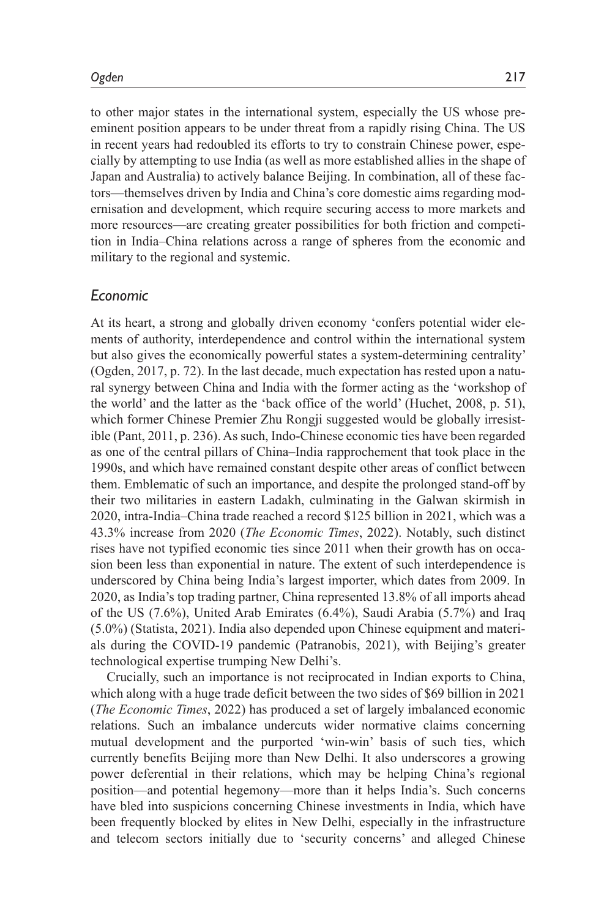to other major states in the international system, especially the US whose preeminent position appears to be under threat from a rapidly rising China. The US in recent years had redoubled its efforts to try to constrain Chinese power, especially by attempting to use India (as well as more established allies in the shape of Japan and Australia) to actively balance Beijing. In combination, all of these factors—themselves driven by India and China's core domestic aims regarding modernisation and development, which require securing access to more markets and more resources—are creating greater possibilities for both friction and competition in India–China relations across a range of spheres from the economic and military to the regional and systemic.

# *Economic*

At its heart, a strong and globally driven economy 'confers potential wider elements of authority, interdependence and control within the international system but also gives the economically powerful states a system-determining centrality' (Ogden, 2017, p. 72). In the last decade, much expectation has rested upon a natural synergy between China and India with the former acting as the 'workshop of the world' and the latter as the 'back office of the world' (Huchet, 2008, p. 51), which former Chinese Premier Zhu Rongji suggested would be globally irresistible (Pant, 2011, p. 236). As such, Indo-Chinese economic ties have been regarded as one of the central pillars of China–India rapprochement that took place in the 1990s, and which have remained constant despite other areas of conflict between them. Emblematic of such an importance, and despite the prolonged stand-off by their two militaries in eastern Ladakh, culminating in the Galwan skirmish in 2020, intra-India–China trade reached a record \$125 billion in 2021, which was a 43.3% increase from 2020 (*The Economic Times*, 2022). Notably, such distinct rises have not typified economic ties since 2011 when their growth has on occasion been less than exponential in nature. The extent of such interdependence is underscored by China being India's largest importer, which dates from 2009. In 2020, as India's top trading partner, China represented 13.8% of all imports ahead of the US (7.6%), United Arab Emirates (6.4%), Saudi Arabia (5.7%) and Iraq (5.0%) (Statista, 2021). India also depended upon Chinese equipment and materials during the COVID-19 pandemic (Patranobis, 2021), with Beijing's greater technological expertise trumping New Delhi's.

Crucially, such an importance is not reciprocated in Indian exports to China, which along with a huge trade deficit between the two sides of \$69 billion in 2021 (*The Economic Times*, 2022) has produced a set of largely imbalanced economic relations. Such an imbalance undercuts wider normative claims concerning mutual development and the purported 'win-win' basis of such ties, which currently benefits Beijing more than New Delhi. It also underscores a growing power deferential in their relations, which may be helping China's regional position—and potential hegemony—more than it helps India's. Such concerns have bled into suspicions concerning Chinese investments in India, which have been frequently blocked by elites in New Delhi, especially in the infrastructure and telecom sectors initially due to 'security concerns' and alleged Chinese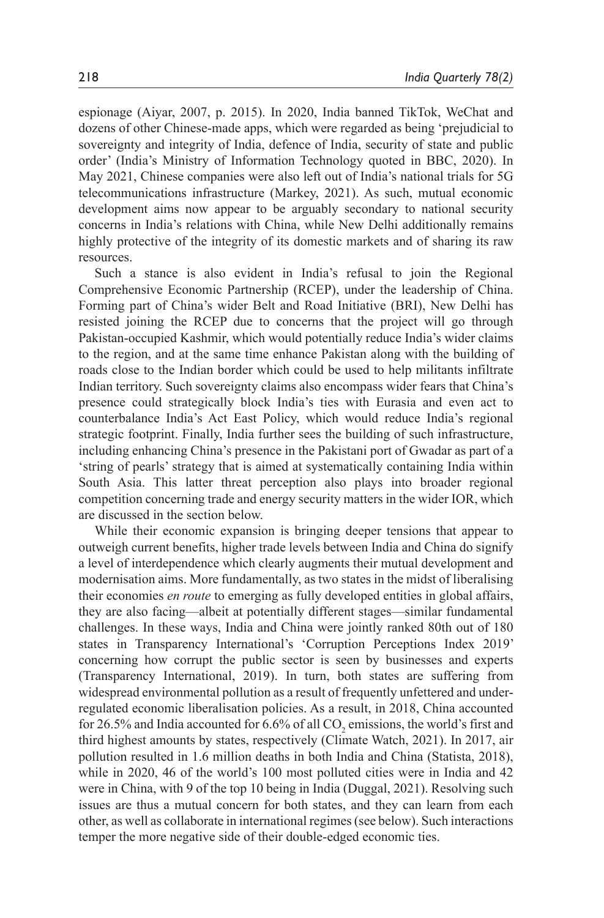espionage (Aiyar, 2007, p. 2015). In 2020, India banned TikTok, WeChat and dozens of other Chinese-made apps, which were regarded as being 'prejudicial to sovereignty and integrity of India, defence of India, security of state and public order' (India's Ministry of Information Technology quoted in BBC, 2020). In May 2021, Chinese companies were also left out of India's national trials for 5G telecommunications infrastructure (Markey, 2021). As such, mutual economic development aims now appear to be arguably secondary to national security concerns in India's relations with China, while New Delhi additionally remains highly protective of the integrity of its domestic markets and of sharing its raw resources.

Such a stance is also evident in India's refusal to join the Regional Comprehensive Economic Partnership (RCEP), under the leadership of China. Forming part of China's wider Belt and Road Initiative (BRI), New Delhi has resisted joining the RCEP due to concerns that the project will go through Pakistan-occupied Kashmir, which would potentially reduce India's wider claims to the region, and at the same time enhance Pakistan along with the building of roads close to the Indian border which could be used to help militants infiltrate Indian territory. Such sovereignty claims also encompass wider fears that China's presence could strategically block India's ties with Eurasia and even act to counterbalance India's Act East Policy, which would reduce India's regional strategic footprint. Finally, India further sees the building of such infrastructure, including enhancing China's presence in the Pakistani port of Gwadar as part of a 'string of pearls' strategy that is aimed at systematically containing India within South Asia. This latter threat perception also plays into broader regional competition concerning trade and energy security matters in the wider IOR, which are discussed in the section below.

While their economic expansion is bringing deeper tensions that appear to outweigh current benefits, higher trade levels between India and China do signify a level of interdependence which clearly augments their mutual development and modernisation aims. More fundamentally, as two states in the midst of liberalising their economies *en route* to emerging as fully developed entities in global affairs, they are also facing—albeit at potentially different stages—similar fundamental challenges. In these ways, India and China were jointly ranked 80th out of 180 states in Transparency International's 'Corruption Perceptions Index 2019' concerning how corrupt the public sector is seen by businesses and experts (Transparency International, 2019). In turn, both states are suffering from widespread environmental pollution as a result of frequently unfettered and underregulated economic liberalisation policies. As a result, in 2018, China accounted for 26.5% and India accounted for 6.6% of all  $CO_2$  emissions, the world's first and third highest amounts by states, respectively (Climate Watch, 2021). In 2017, air pollution resulted in 1.6 million deaths in both India and China (Statista, 2018), while in 2020, 46 of the world's 100 most polluted cities were in India and 42 were in China, with 9 of the top 10 being in India (Duggal, 2021). Resolving such issues are thus a mutual concern for both states, and they can learn from each other, as well as collaborate in international regimes (see below). Such interactions temper the more negative side of their double-edged economic ties.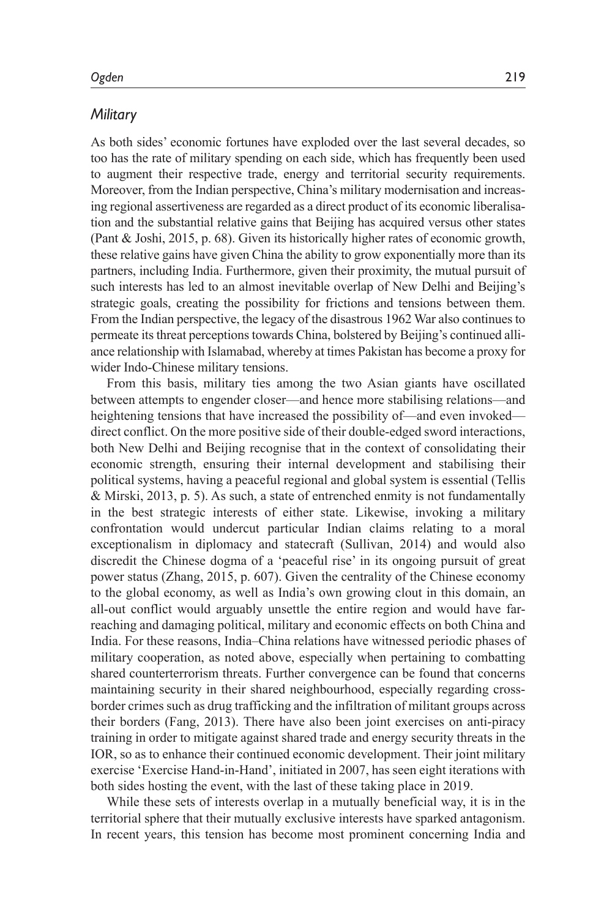#### *Military*

As both sides' economic fortunes have exploded over the last several decades, so too has the rate of military spending on each side, which has frequently been used to augment their respective trade, energy and territorial security requirements. Moreover, from the Indian perspective, China's military modernisation and increasing regional assertiveness are regarded as a direct product of its economic liberalisation and the substantial relative gains that Beijing has acquired versus other states (Pant & Joshi, 2015, p. 68). Given its historically higher rates of economic growth, these relative gains have given China the ability to grow exponentially more than its partners, including India. Furthermore, given their proximity, the mutual pursuit of such interests has led to an almost inevitable overlap of New Delhi and Beijing's strategic goals, creating the possibility for frictions and tensions between them. From the Indian perspective, the legacy of the disastrous 1962 War also continues to permeate its threat perceptions towards China, bolstered by Beijing's continued alliance relationship with Islamabad, whereby at times Pakistan has become a proxy for wider Indo-Chinese military tensions.

From this basis, military ties among the two Asian giants have oscillated between attempts to engender closer—and hence more stabilising relations—and heightening tensions that have increased the possibility of—and even invoked direct conflict. On the more positive side of their double-edged sword interactions, both New Delhi and Beijing recognise that in the context of consolidating their economic strength, ensuring their internal development and stabilising their political systems, having a peaceful regional and global system is essential (Tellis & Mirski, 2013, p. 5). As such, a state of entrenched enmity is not fundamentally in the best strategic interests of either state. Likewise, invoking a military confrontation would undercut particular Indian claims relating to a moral exceptionalism in diplomacy and statecraft (Sullivan, 2014) and would also discredit the Chinese dogma of a 'peaceful rise' in its ongoing pursuit of great power status (Zhang, 2015, p. 607). Given the centrality of the Chinese economy to the global economy, as well as India's own growing clout in this domain, an all-out conflict would arguably unsettle the entire region and would have farreaching and damaging political, military and economic effects on both China and India. For these reasons, India–China relations have witnessed periodic phases of military cooperation, as noted above, especially when pertaining to combatting shared counterterrorism threats. Further convergence can be found that concerns maintaining security in their shared neighbourhood, especially regarding crossborder crimes such as drug trafficking and the infiltration of militant groups across their borders (Fang, 2013). There have also been joint exercises on anti-piracy training in order to mitigate against shared trade and energy security threats in the IOR, so as to enhance their continued economic development. Their joint military exercise 'Exercise Hand-in-Hand', initiated in 2007, has seen eight iterations with both sides hosting the event, with the last of these taking place in 2019.

While these sets of interests overlap in a mutually beneficial way, it is in the territorial sphere that their mutually exclusive interests have sparked antagonism. In recent years, this tension has become most prominent concerning India and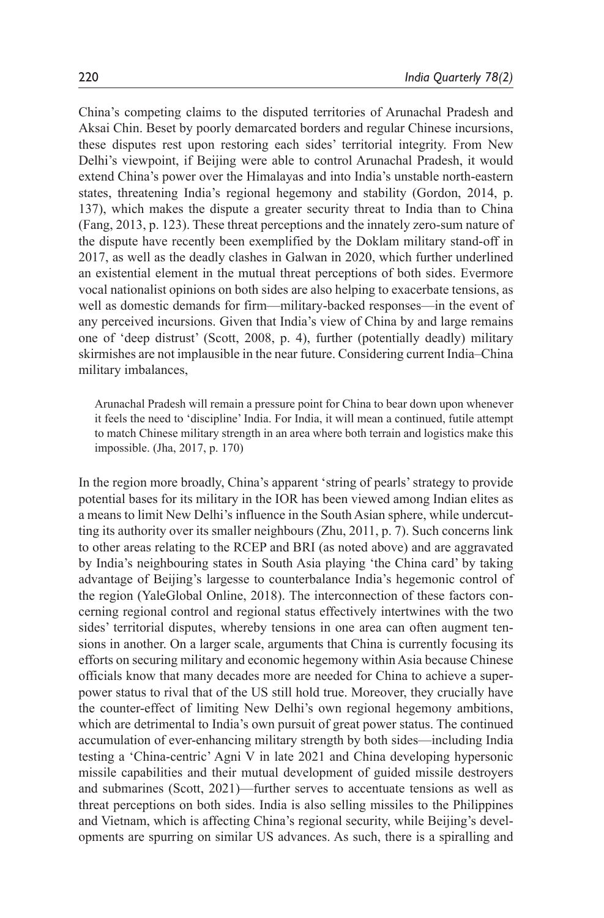China's competing claims to the disputed territories of Arunachal Pradesh and Aksai Chin. Beset by poorly demarcated borders and regular Chinese incursions, these disputes rest upon restoring each sides' territorial integrity. From New Delhi's viewpoint, if Beijing were able to control Arunachal Pradesh, it would extend China's power over the Himalayas and into India's unstable north-eastern states, threatening India's regional hegemony and stability (Gordon, 2014, p. 137), which makes the dispute a greater security threat to India than to China (Fang, 2013, p. 123). These threat perceptions and the innately zero-sum nature of the dispute have recently been exemplified by the Doklam military stand-off in 2017, as well as the deadly clashes in Galwan in 2020, which further underlined an existential element in the mutual threat perceptions of both sides. Evermore vocal nationalist opinions on both sides are also helping to exacerbate tensions, as well as domestic demands for firm—military-backed responses—in the event of any perceived incursions. Given that India's view of China by and large remains one of 'deep distrust' (Scott, 2008, p. 4), further (potentially deadly) military skirmishes are not implausible in the near future. Considering current India–China military imbalances,

Arunachal Pradesh will remain a pressure point for China to bear down upon whenever it feels the need to 'discipline' India. For India, it will mean a continued, futile attempt to match Chinese military strength in an area where both terrain and logistics make this impossible. (Jha, 2017, p. 170)

In the region more broadly, China's apparent 'string of pearls' strategy to provide potential bases for its military in the IOR has been viewed among Indian elites as a means to limit New Delhi's influence in the South Asian sphere, while undercutting its authority over its smaller neighbours (Zhu, 2011, p. 7). Such concerns link to other areas relating to the RCEP and BRI (as noted above) and are aggravated by India's neighbouring states in South Asia playing 'the China card' by taking advantage of Beijing's largesse to counterbalance India's hegemonic control of the region (YaleGlobal Online, 2018). The interconnection of these factors concerning regional control and regional status effectively intertwines with the two sides' territorial disputes, whereby tensions in one area can often augment tensions in another. On a larger scale, arguments that China is currently focusing its efforts on securing military and economic hegemony within Asia because Chinese officials know that many decades more are needed for China to achieve a superpower status to rival that of the US still hold true. Moreover, they crucially have the counter-effect of limiting New Delhi's own regional hegemony ambitions, which are detrimental to India's own pursuit of great power status. The continued accumulation of ever-enhancing military strength by both sides—including India testing a 'China-centric' Agni V in late 2021 and China developing hypersonic missile capabilities and their mutual development of guided missile destroyers and submarines (Scott, 2021)—further serves to accentuate tensions as well as threat perceptions on both sides. India is also selling missiles to the Philippines and Vietnam, which is affecting China's regional security, while Beijing's developments are spurring on similar US advances. As such, there is a spiralling and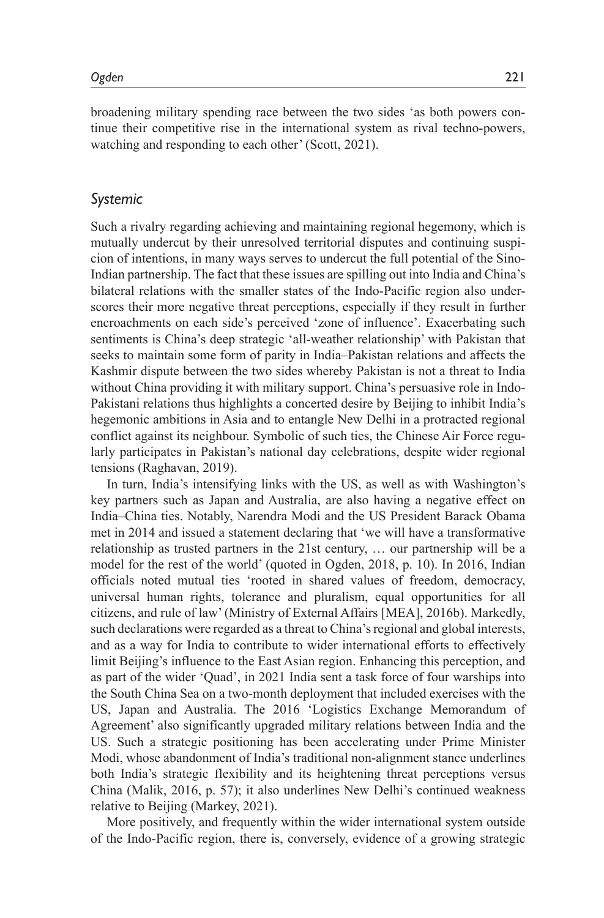broadening military spending race between the two sides 'as both powers continue their competitive rise in the international system as rival techno-powers, watching and responding to each other' (Scott, 2021).

#### *Systemic*

Such a rivalry regarding achieving and maintaining regional hegemony, which is mutually undercut by their unresolved territorial disputes and continuing suspicion of intentions, in many ways serves to undercut the full potential of the Sino-Indian partnership. The fact that these issues are spilling out into India and China's bilateral relations with the smaller states of the Indo-Pacific region also underscores their more negative threat perceptions, especially if they result in further encroachments on each side's perceived 'zone of influence'. Exacerbating such sentiments is China's deep strategic 'all-weather relationship' with Pakistan that seeks to maintain some form of parity in India–Pakistan relations and affects the Kashmir dispute between the two sides whereby Pakistan is not a threat to India without China providing it with military support. China's persuasive role in Indo-Pakistani relations thus highlights a concerted desire by Beijing to inhibit India's hegemonic ambitions in Asia and to entangle New Delhi in a protracted regional conflict against its neighbour. Symbolic of such ties, the Chinese Air Force regularly participates in Pakistan's national day celebrations, despite wider regional tensions (Raghavan, 2019).

In turn, India's intensifying links with the US, as well as with Washington's key partners such as Japan and Australia, are also having a negative effect on India–China ties. Notably, Narendra Modi and the US President Barack Obama met in 2014 and issued a statement declaring that 'we will have a transformative relationship as trusted partners in the 21st century, … our partnership will be a model for the rest of the world' (quoted in Ogden, 2018, p. 10). In 2016, Indian officials noted mutual ties 'rooted in shared values of freedom, democracy, universal human rights, tolerance and pluralism, equal opportunities for all citizens, and rule of law' (Ministry of External Affairs [MEA], 2016b). Markedly, such declarations were regarded as a threat to China's regional and global interests, and as a way for India to contribute to wider international efforts to effectively limit Beijing's influence to the East Asian region. Enhancing this perception, and as part of the wider 'Quad', in 2021 India sent a task force of four warships into the South China Sea on a two-month deployment that included exercises with the US, Japan and Australia. The 2016 'Logistics Exchange Memorandum of Agreement' also significantly upgraded military relations between India and the US. Such a strategic positioning has been accelerating under Prime Minister Modi, whose abandonment of India's traditional non-alignment stance underlines both India's strategic flexibility and its heightening threat perceptions versus China (Malik, 2016, p. 57); it also underlines New Delhi's continued weakness relative to Beijing (Markey, 2021).

More positively, and frequently within the wider international system outside of the Indo-Pacific region, there is, conversely, evidence of a growing strategic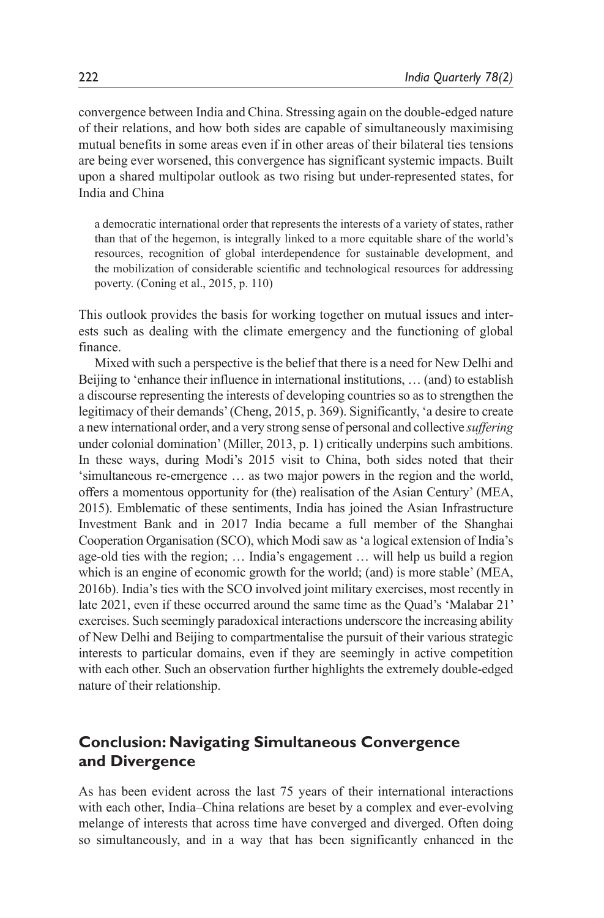convergence between India and China. Stressing again on the double-edged nature of their relations, and how both sides are capable of simultaneously maximising mutual benefits in some areas even if in other areas of their bilateral ties tensions are being ever worsened, this convergence has significant systemic impacts. Built upon a shared multipolar outlook as two rising but under-represented states, for India and China

a democratic international order that represents the interests of a variety of states, rather than that of the hegemon, is integrally linked to a more equitable share of the world's resources, recognition of global interdependence for sustainable development, and the mobilization of considerable scientific and technological resources for addressing poverty. (Coning et al., 2015, p. 110)

This outlook provides the basis for working together on mutual issues and interests such as dealing with the climate emergency and the functioning of global finance.

Mixed with such a perspective is the belief that there is a need for New Delhi and Beijing to 'enhance their influence in international institutions, … (and) to establish a discourse representing the interests of developing countries so as to strengthen the legitimacy of their demands' (Cheng, 2015, p. 369). Significantly, 'a desire to create a new international order, and a very strong sense of personal and collective *suffering* under colonial domination' (Miller, 2013, p. 1) critically underpins such ambitions. In these ways, during Modi's 2015 visit to China, both sides noted that their 'simultaneous re-emergence … as two major powers in the region and the world, offers a momentous opportunity for (the) realisation of the Asian Century' (MEA, 2015). Emblematic of these sentiments, India has joined the Asian Infrastructure Investment Bank and in 2017 India became a full member of the Shanghai Cooperation Organisation (SCO), which Modi saw as 'a logical extension of India's age-old ties with the region; … India's engagement … will help us build a region which is an engine of economic growth for the world; (and) is more stable' (MEA, 2016b). India's ties with the SCO involved joint military exercises, most recently in late 2021, even if these occurred around the same time as the Quad's 'Malabar 21' exercises. Such seemingly paradoxical interactions underscore the increasing ability of New Delhi and Beijing to compartmentalise the pursuit of their various strategic interests to particular domains, even if they are seemingly in active competition with each other. Such an observation further highlights the extremely double-edged nature of their relationship.

# **Conclusion: Navigating Simultaneous Convergence and Divergence**

As has been evident across the last 75 years of their international interactions with each other, India–China relations are beset by a complex and ever-evolving melange of interests that across time have converged and diverged. Often doing so simultaneously, and in a way that has been significantly enhanced in the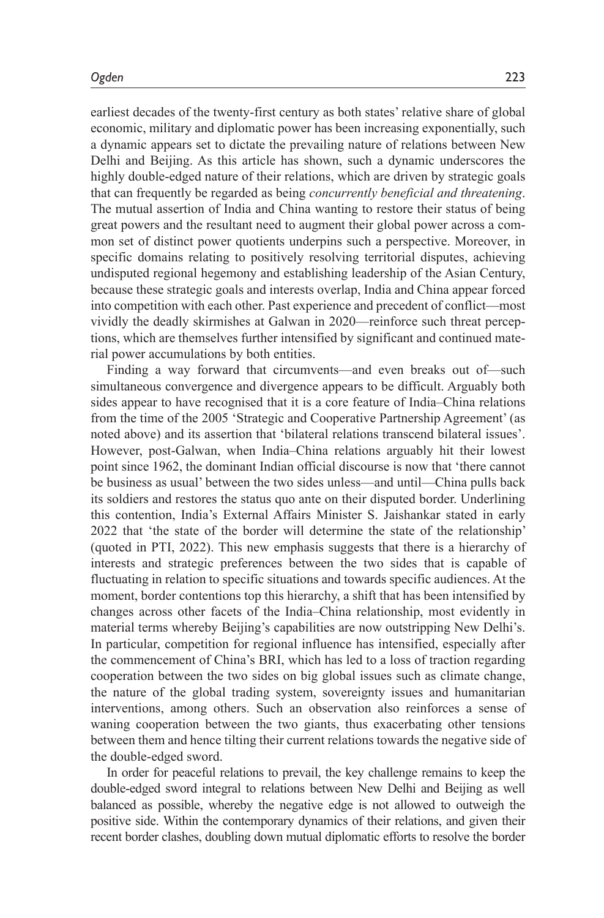earliest decades of the twenty-first century as both states' relative share of global economic, military and diplomatic power has been increasing exponentially, such a dynamic appears set to dictate the prevailing nature of relations between New Delhi and Beijing. As this article has shown, such a dynamic underscores the highly double-edged nature of their relations, which are driven by strategic goals that can frequently be regarded as being *concurrently beneficial and threatening*. The mutual assertion of India and China wanting to restore their status of being great powers and the resultant need to augment their global power across a common set of distinct power quotients underpins such a perspective. Moreover, in specific domains relating to positively resolving territorial disputes, achieving undisputed regional hegemony and establishing leadership of the Asian Century, because these strategic goals and interests overlap, India and China appear forced into competition with each other. Past experience and precedent of conflict—most vividly the deadly skirmishes at Galwan in 2020—reinforce such threat perceptions, which are themselves further intensified by significant and continued material power accumulations by both entities.

Finding a way forward that circumvents—and even breaks out of—such simultaneous convergence and divergence appears to be difficult. Arguably both sides appear to have recognised that it is a core feature of India–China relations from the time of the 2005 'Strategic and Cooperative Partnership Agreement' (as noted above) and its assertion that 'bilateral relations transcend bilateral issues'. However, post-Galwan, when India–China relations arguably hit their lowest point since 1962, the dominant Indian official discourse is now that 'there cannot be business as usual' between the two sides unless—and until—China pulls back its soldiers and restores the status quo ante on their disputed border. Underlining this contention, India's External Affairs Minister S. Jaishankar stated in early 2022 that 'the state of the border will determine the state of the relationship' (quoted in PTI, 2022). This new emphasis suggests that there is a hierarchy of interests and strategic preferences between the two sides that is capable of fluctuating in relation to specific situations and towards specific audiences. At the moment, border contentions top this hierarchy, a shift that has been intensified by changes across other facets of the India–China relationship, most evidently in material terms whereby Beijing's capabilities are now outstripping New Delhi's. In particular, competition for regional influence has intensified, especially after the commencement of China's BRI, which has led to a loss of traction regarding cooperation between the two sides on big global issues such as climate change, the nature of the global trading system, sovereignty issues and humanitarian interventions, among others. Such an observation also reinforces a sense of waning cooperation between the two giants, thus exacerbating other tensions between them and hence tilting their current relations towards the negative side of the double-edged sword.

In order for peaceful relations to prevail, the key challenge remains to keep the double-edged sword integral to relations between New Delhi and Beijing as well balanced as possible, whereby the negative edge is not allowed to outweigh the positive side. Within the contemporary dynamics of their relations, and given their recent border clashes, doubling down mutual diplomatic efforts to resolve the border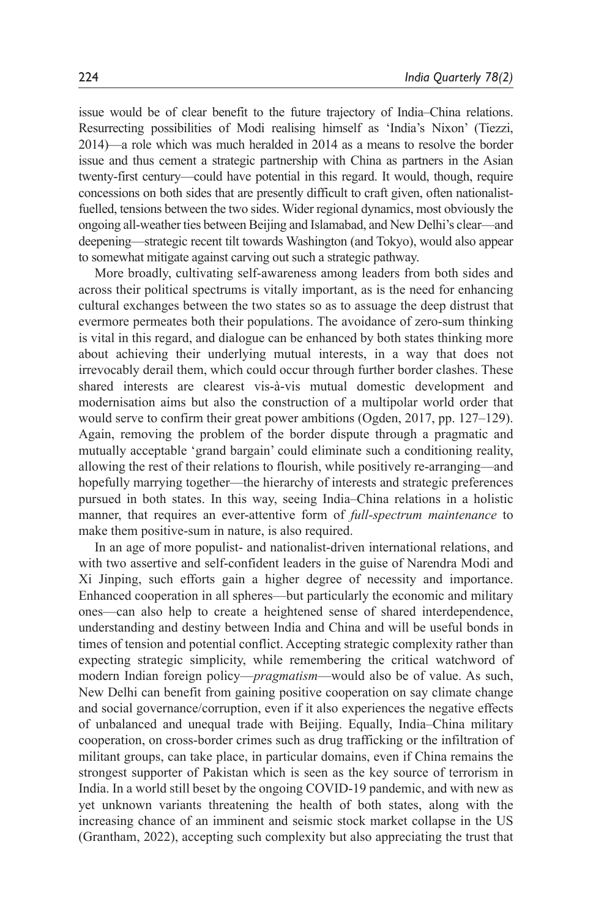issue would be of clear benefit to the future trajectory of India–China relations. Resurrecting possibilities of Modi realising himself as 'India's Nixon' (Tiezzi, 2014)—a role which was much heralded in 2014 as a means to resolve the border issue and thus cement a strategic partnership with China as partners in the Asian twenty-first century—could have potential in this regard. It would, though, require concessions on both sides that are presently difficult to craft given, often nationalistfuelled, tensions between the two sides. Wider regional dynamics, most obviously the ongoing all-weather ties between Beijing and Islamabad, and New Delhi's clear—and deepening—strategic recent tilt towards Washington (and Tokyo), would also appear to somewhat mitigate against carving out such a strategic pathway.

More broadly, cultivating self-awareness among leaders from both sides and across their political spectrums is vitally important, as is the need for enhancing cultural exchanges between the two states so as to assuage the deep distrust that evermore permeates both their populations. The avoidance of zero-sum thinking is vital in this regard, and dialogue can be enhanced by both states thinking more about achieving their underlying mutual interests, in a way that does not irrevocably derail them, which could occur through further border clashes. These shared interests are clearest vis-à-vis mutual domestic development and modernisation aims but also the construction of a multipolar world order that would serve to confirm their great power ambitions (Ogden, 2017, pp. 127–129). Again, removing the problem of the border dispute through a pragmatic and mutually acceptable 'grand bargain' could eliminate such a conditioning reality, allowing the rest of their relations to flourish, while positively re-arranging—and hopefully marrying together—the hierarchy of interests and strategic preferences pursued in both states. In this way, seeing India–China relations in a holistic manner, that requires an ever-attentive form of *full-spectrum maintenance* to make them positive-sum in nature, is also required.

In an age of more populist- and nationalist-driven international relations, and with two assertive and self-confident leaders in the guise of Narendra Modi and Xi Jinping, such efforts gain a higher degree of necessity and importance. Enhanced cooperation in all spheres—but particularly the economic and military ones—can also help to create a heightened sense of shared interdependence, understanding and destiny between India and China and will be useful bonds in times of tension and potential conflict. Accepting strategic complexity rather than expecting strategic simplicity, while remembering the critical watchword of modern Indian foreign policy—*pragmatism*—would also be of value. As such, New Delhi can benefit from gaining positive cooperation on say climate change and social governance/corruption, even if it also experiences the negative effects of unbalanced and unequal trade with Beijing. Equally, India–China military cooperation, on cross-border crimes such as drug trafficking or the infiltration of militant groups, can take place, in particular domains, even if China remains the strongest supporter of Pakistan which is seen as the key source of terrorism in India. In a world still beset by the ongoing COVID-19 pandemic, and with new as yet unknown variants threatening the health of both states, along with the increasing chance of an imminent and seismic stock market collapse in the US (Grantham, 2022), accepting such complexity but also appreciating the trust that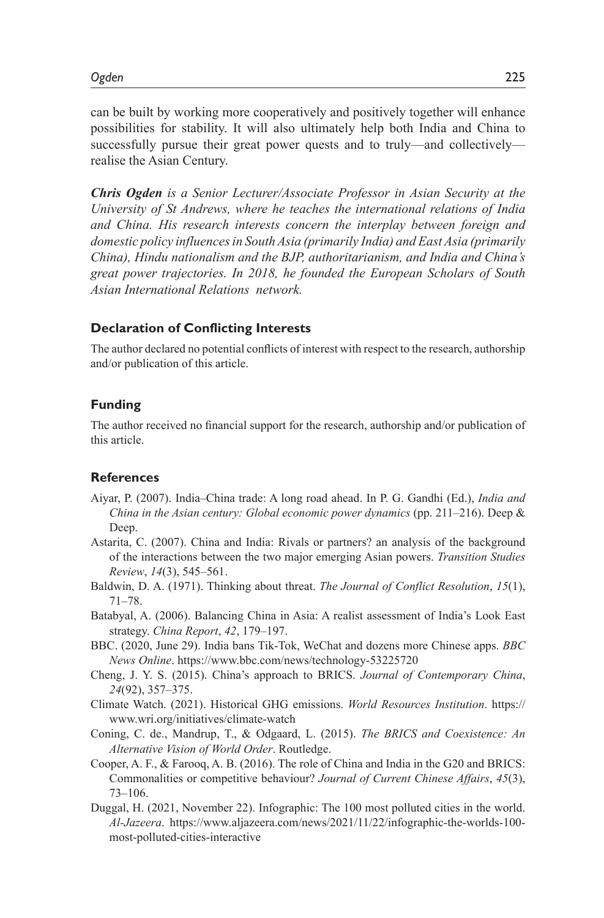can be built by working more cooperatively and positively together will enhance possibilities for stability. It will also ultimately help both India and China to successfully pursue their great power quests and to truly—and collectively realise the Asian Century.

*Chris Ogden is a Senior Lecturer/Associate Professor in Asian Security at the University of St Andrews, where he teaches the international relations of India and China. His research interests concern the interplay between foreign and domestic policy influences in South Asia (primarily India) and East Asia (primarily China), Hindu nationalism and the BJP, authoritarianism, and India and China's great power trajectories. In 2018, he founded the European Scholars of South Asian International Relations network.*

#### **Declaration of Conflicting Interests**

The author declared no potential conflicts of interest with respect to the research, authorship and/or publication of this article.

#### **Funding**

The author received no financial support for the research, authorship and/or publication of this article.

#### **References**

- Aiyar, P. (2007). India–China trade: A long road ahead. In P. G. Gandhi (Ed.), *India and China in the Asian century: Global economic power dynamics* (pp. 211–216). Deep & Deep.
- Astarita, C. (2007). China and India: Rivals or partners? an analysis of the background of the interactions between the two major emerging Asian powers. *Transition Studies Review*, *14*(3), 545–561.
- Baldwin, D. A. (1971). Thinking about threat. *The Journal of Conflict Resolution*, *15*(1), 71–78.
- Batabyal, A. (2006). Balancing China in Asia: A realist assessment of India's Look East strategy. *China Report*, *42*, 179–197.
- BBC. (2020, June 29). India bans Tik-Tok, WeChat and dozens more Chinese apps. *BBC News Online*. https://www.bbc.com/news/technology-53225720
- Cheng, J. Y. S. (2015). China's approach to BRICS. *Journal of Contemporary China*, *24*(92), 357–375.
- Climate Watch. (2021). Historical GHG emissions. *World Resources Institution*. https:// www.wri.org/initiatives/climate-watch
- Coning, C. de., Mandrup, T., & Odgaard, L. (2015). *The BRICS and Coexistence: An Alternative Vision of World Order*. Routledge.
- Cooper, A. F., & Farooq, A. B. (2016). The role of China and India in the G20 and BRICS: Commonalities or competitive behaviour? *Journal of Current Chinese Affairs*, *45*(3), 73–106.
- Duggal, H. (2021, November 22). Infographic: The 100 most polluted cities in the world. *Al-Jazeera*. https://www.aljazeera.com/news/2021/11/22/infographic-the-worlds-100 most-polluted-cities-interactive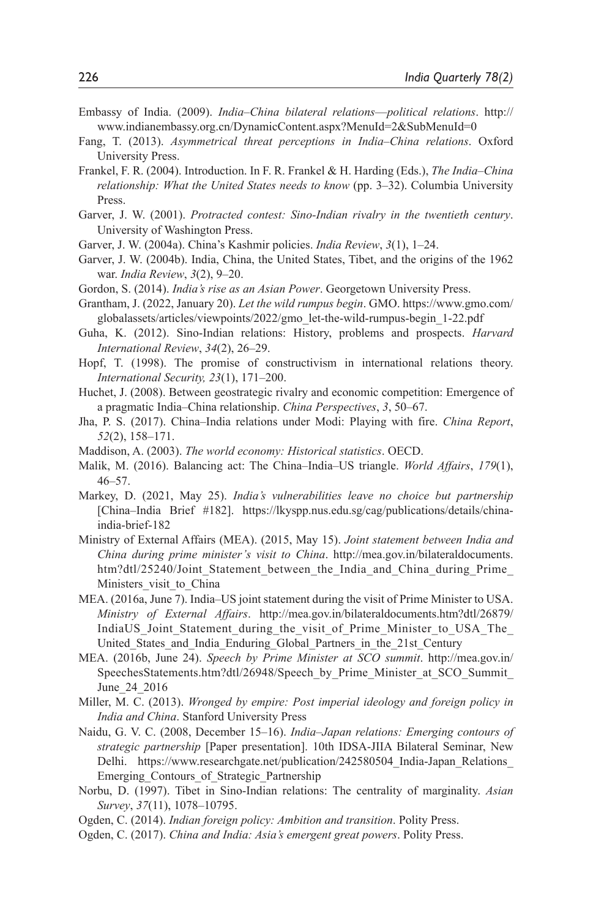- Embassy of India. (2009). *India–China bilateral relations*—*political relations*. http:// www.indianembassy.org.cn/DynamicContent.aspx?MenuId=2&SubMenuId=0
- Fang, T. (2013). *Asymmetrical threat perceptions in India–China relations*. Oxford University Press.
- Frankel, F. R. (2004). Introduction. In F. R. Frankel & H. Harding (Eds.), *The India–China relationship: What the United States needs to know* (pp. 3–32). Columbia University Press.
- Garver, J. W. (2001). *Protracted contest: Sino-Indian rivalry in the twentieth century*. University of Washington Press.
- Garver, J. W. (2004a). China's Kashmir policies. *India Review*, *3*(1), 1–24.
- Garver, J. W. (2004b). India, China, the United States, Tibet, and the origins of the 1962 war. *India Review*, *3*(2), 9–20.
- Gordon, S. (2014). *India's rise as an Asian Power*. Georgetown University Press.
- Grantham, J. (2022, January 20). *Let the wild rumpus begin*. GMO. https://www.gmo.com/ globalassets/articles/viewpoints/2022/gmo\_let-the-wild-rumpus-begin\_1-22.pdf
- Guha, K. (2012). Sino-Indian relations: History, problems and prospects. *Harvard International Review*, *34*(2), 26–29.
- Hopf, T. (1998). The promise of constructivism in international relations theory. *International Security, 23*(1), 171–200.
- Huchet, J. (2008). Between geostrategic rivalry and economic competition: Emergence of a pragmatic India–China relationship. *China Perspectives*, *3*, 50–67.
- Jha, P. S. (2017). China–India relations under Modi: Playing with fire. *China Report*, *52*(2), 158–171.
- Maddison, A. (2003). *The world economy: Historical statistics*. OECD.
- Malik, M. (2016). Balancing act: The China–India–US triangle. *World Affairs*, *179*(1), 46–57.
- Markey, D. (2021, May 25). *India's vulnerabilities leave no choice but partnership* [China–India Brief #182]. https://lkyspp.nus.edu.sg/cag/publications/details/chinaindia-brief-182
- Ministry of External Affairs (MEA). (2015, May 15). *Joint statement between India and China during prime minister's visit to China*. http://mea.gov.in/bilateraldocuments. htm?dtl/25240/Joint\_Statement\_between\_the\_India\_and\_China\_during\_Prime\_ Ministers visit to China
- MEA. (2016a, June 7). India–US joint statement during the visit of Prime Minister to USA. *Ministry of External Affairs*. http://mea.gov.in/bilateraldocuments.htm?dtl/26879/ IndiaUS Joint Statement during the visit of Prime Minister to USA The United States and India Enduring Global Partners in the 21st Century
- MEA. (2016b, June 24). *Speech by Prime Minister at SCO summit*. http://mea.gov.in/ SpeechesStatements.htm?dtl/26948/Speech\_by\_Prime\_Minister\_at\_SCO\_Summit\_ June\_24\_2016
- Miller, M. C. (2013). *Wronged by empire: Post imperial ideology and foreign policy in India and China*. Stanford University Press
- Naidu, G. V. C. (2008, December 15–16). *India–Japan relations: Emerging contours of strategic partnership* [Paper presentation]. 10th IDSA-JIIA Bilateral Seminar, New Delhi. https://www.researchgate.net/publication/242580504 India-Japan Relations Emerging Contours of Strategic Partnership
- Norbu, D. (1997). Tibet in Sino-Indian relations: The centrality of marginality. *Asian Survey*, *37*(11), 1078–10795.
- Ogden, C. (2014). *Indian foreign policy: Ambition and transition*. Polity Press.
- Ogden, C. (2017). *China and India: Asia's emergent great powers*. Polity Press.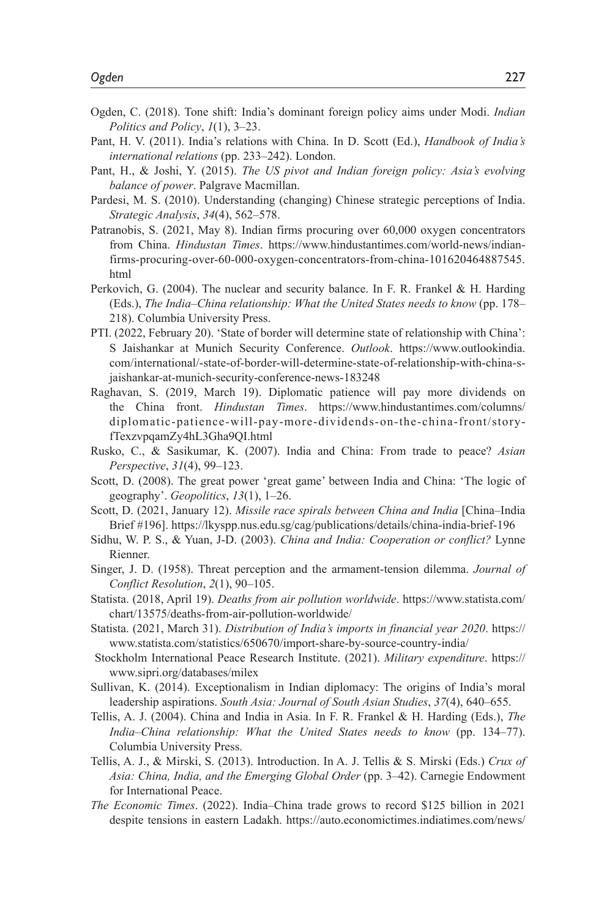- Ogden, C. (2018). Tone shift: India's dominant foreign policy aims under Modi. *Indian Politics and Policy*, *1*(1), 3–23.
- Pant, H. V. (2011). India's relations with China. In D. Scott (Ed.), *Handbook of India's international relations* (pp. 233–242). London.
- Pant, H., & Joshi, Y. (2015). *The US pivot and Indian foreign policy: Asia's evolving balance of power*. Palgrave Macmillan.
- Pardesi, M. S. (2010). Understanding (changing) Chinese strategic perceptions of India. *Strategic Analysis*, *34*(4), 562–578.
- Patranobis, S. (2021, May 8). Indian firms procuring over 60,000 oxygen concentrators from China. *Hindustan Times*. https://www.hindustantimes.com/world-news/indianfirms-procuring-over-60-000-oxygen-concentrators-from-china-101620464887545. html
- Perkovich, G. (2004). The nuclear and security balance. In F. R. Frankel & H. Harding (Eds.), *The India–China relationship: What the United States needs to know* (pp. 178– 218). Columbia University Press.
- PTI. (2022, February 20). 'State of border will determine state of relationship with China': S Jaishankar at Munich Security Conference. *Outlook*. https://www.outlookindia. com/international/-state-of-border-will-determine-state-of-relationship-with-china-sjaishankar-at-munich-security-conference-news-183248
- Raghavan, S. (2019, March 19). Diplomatic patience will pay more dividends on the China front. *Hindustan Times*. https://www.hindustantimes.com/columns/ diplomatic-patience-will-pay-more-dividends-on-the-china-front/storyfTexzvpqamZy4hL3Gha9QI.html
- Rusko, C., & Sasikumar, K. (2007). India and China: From trade to peace? *Asian Perspective*, *31*(4), 99–123.
- Scott, D. (2008). The great power 'great game' between India and China: 'The logic of geography'. *Geopolitics*, *13*(1), 1–26.
- Scott, D. (2021, January 12). *Missile race spirals between China and India* [China–India Brief #196]. https://lkyspp.nus.edu.sg/cag/publications/details/china-india-brief-196
- Sidhu, W. P. S., & Yuan, J-D. (2003). *China and India: Cooperation or conflict?* Lynne Rienner.
- Singer, J. D. (1958). Threat perception and the armament-tension dilemma. *Journal of Conflict Resolution*, *2*(1), 90–105.
- Statista. (2018, April 19). *Deaths from air pollution worldwide*. https://www.statista.com/ chart/13575/deaths-from-air-pollution-worldwide/
- Statista. (2021, March 31). *Distribution of India's imports in financial year 2020*. https:// www.statista.com/statistics/650670/import-share-by-source-country-india/
- Stockholm International Peace Research Institute. (2021). *Military expenditure*. https:// www.sipri.org/databases/milex
- Sullivan, K. (2014). Exceptionalism in Indian diplomacy: The origins of India's moral leadership aspirations. *South Asia: Journal of South Asian Studies*, *37*(4), 640–655.
- Tellis, A. J. (2004). China and India in Asia. In F. R. Frankel & H. Harding (Eds.), *The India–China relationship: What the United States needs to know* (pp. 134–77). Columbia University Press.
- Tellis, A. J., & Mirski, S. (2013). Introduction. In A. J. Tellis & S. Mirski (Eds.) *Crux of Asia: China, India, and the Emerging Global Order* (pp. 3–42). Carnegie Endowment for International Peace.
- *The Economic Times*. (2022). India–China trade grows to record \$125 billion in 2021 despite tensions in eastern Ladakh. https://auto.economictimes.indiatimes.com/news/